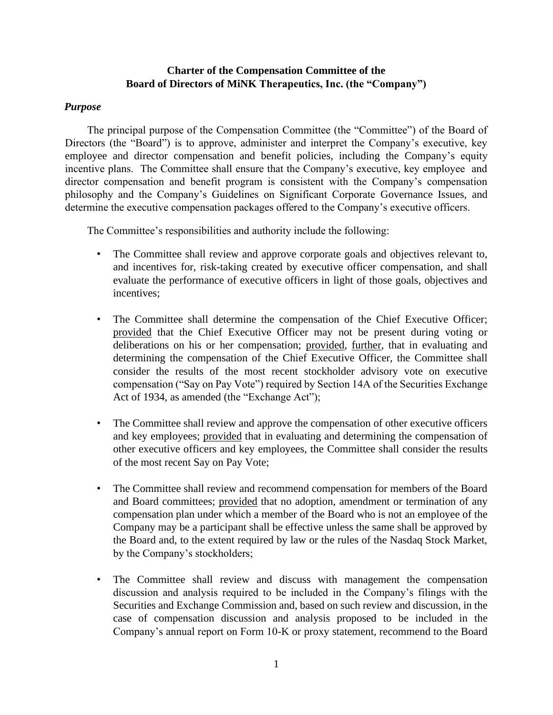## **Charter of the Compensation Committee of the Board of Directors of MiNK Therapeutics, Inc. (the "Company")**

## *Purpose*

The principal purpose of the Compensation Committee (the "Committee") of the Board of Directors (the "Board") is to approve, administer and interpret the Company's executive, key employee and director compensation and benefit policies, including the Company's equity incentive plans. The Committee shall ensure that the Company's executive, key employee and director compensation and benefit program is consistent with the Company's compensation philosophy and the Company's Guidelines on Significant Corporate Governance Issues, and determine the executive compensation packages offered to the Company's executive officers.

The Committee's responsibilities and authority include the following:

- The Committee shall review and approve corporate goals and objectives relevant to, and incentives for, risk-taking created by executive officer compensation, and shall evaluate the performance of executive officers in light of those goals, objectives and incentives;
- The Committee shall determine the compensation of the Chief Executive Officer; provided that the Chief Executive Officer may not be present during voting or deliberations on his or her compensation; provided, further, that in evaluating and determining the compensation of the Chief Executive Officer, the Committee shall consider the results of the most recent stockholder advisory vote on executive compensation ("Say on Pay Vote") required by Section 14A of the Securities Exchange Act of 1934, as amended (the "Exchange Act");
- The Committee shall review and approve the compensation of other executive officers and key employees; provided that in evaluating and determining the compensation of other executive officers and key employees, the Committee shall consider the results of the most recent Say on Pay Vote;
- The Committee shall review and recommend compensation for members of the Board and Board committees; provided that no adoption, amendment or termination of any compensation plan under which a member of the Board who is not an employee of the Company may be a participant shall be effective unless the same shall be approved by the Board and, to the extent required by law or the rules of the Nasdaq Stock Market, by the Company's stockholders;
- The Committee shall review and discuss with management the compensation discussion and analysis required to be included in the Company's filings with the Securities and Exchange Commission and, based on such review and discussion, in the case of compensation discussion and analysis proposed to be included in the Company's annual report on Form 10-K or proxy statement, recommend to the Board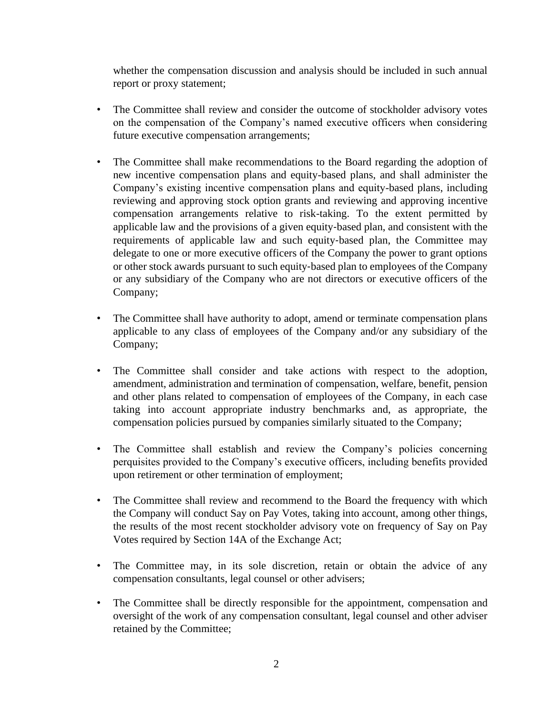whether the compensation discussion and analysis should be included in such annual report or proxy statement;

- The Committee shall review and consider the outcome of stockholder advisory votes on the compensation of the Company's named executive officers when considering future executive compensation arrangements;
- The Committee shall make recommendations to the Board regarding the adoption of new incentive compensation plans and equity-based plans, and shall administer the Company's existing incentive compensation plans and equity-based plans, including reviewing and approving stock option grants and reviewing and approving incentive compensation arrangements relative to risk-taking. To the extent permitted by applicable law and the provisions of a given equity‐based plan, and consistent with the requirements of applicable law and such equity‐based plan, the Committee may delegate to one or more executive officers of the Company the power to grant options or other stock awards pursuant to such equity‐based plan to employees of the Company or any subsidiary of the Company who are not directors or executive officers of the Company;
- The Committee shall have authority to adopt, amend or terminate compensation plans applicable to any class of employees of the Company and/or any subsidiary of the Company;
- The Committee shall consider and take actions with respect to the adoption, amendment, administration and termination of compensation, welfare, benefit, pension and other plans related to compensation of employees of the Company, in each case taking into account appropriate industry benchmarks and, as appropriate, the compensation policies pursued by companies similarly situated to the Company;
- The Committee shall establish and review the Company's policies concerning perquisites provided to the Company's executive officers, including benefits provided upon retirement or other termination of employment;
- The Committee shall review and recommend to the Board the frequency with which the Company will conduct Say on Pay Votes, taking into account, among other things, the results of the most recent stockholder advisory vote on frequency of Say on Pay Votes required by Section 14A of the Exchange Act;
- The Committee may, in its sole discretion, retain or obtain the advice of any compensation consultants, legal counsel or other advisers;
- The Committee shall be directly responsible for the appointment, compensation and oversight of the work of any compensation consultant, legal counsel and other adviser retained by the Committee;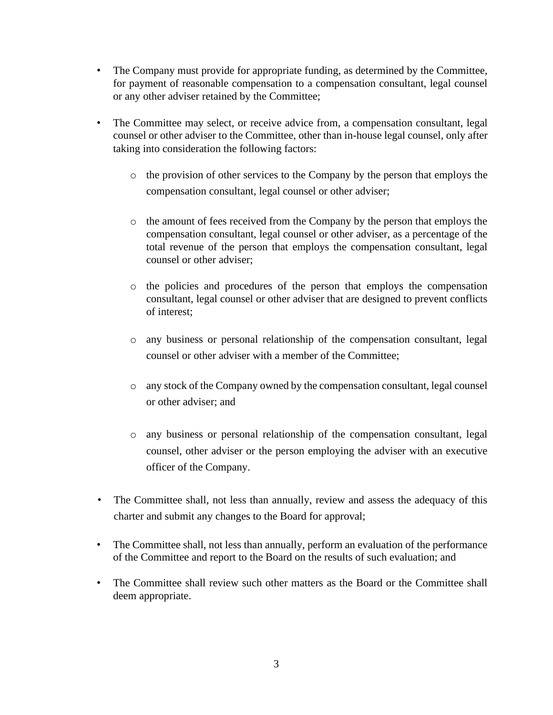- The Company must provide for appropriate funding, as determined by the Committee, for payment of reasonable compensation to a compensation consultant, legal counsel or any other adviser retained by the Committee;
- The Committee may select, or receive advice from, a compensation consultant, legal counsel or other adviser to the Committee, other than in-house legal counsel, only after taking into consideration the following factors:
	- o the provision of other services to the Company by the person that employs the compensation consultant, legal counsel or other adviser;
	- o the amount of fees received from the Company by the person that employs the compensation consultant, legal counsel or other adviser, as a percentage of the total revenue of the person that employs the compensation consultant, legal counsel or other adviser;
	- o the policies and procedures of the person that employs the compensation consultant, legal counsel or other adviser that are designed to prevent conflicts of interest;
	- o any business or personal relationship of the compensation consultant, legal counsel or other adviser with a member of the Committee;
	- o any stock of the Company owned by the compensation consultant, legal counsel or other adviser; and
	- o any business or personal relationship of the compensation consultant, legal counsel, other adviser or the person employing the adviser with an executive officer of the Company.
- The Committee shall, not less than annually, review and assess the adequacy of this charter and submit any changes to the Board for approval;
- The Committee shall, not less than annually, perform an evaluation of the performance of the Committee and report to the Board on the results of such evaluation; and
- The Committee shall review such other matters as the Board or the Committee shall deem appropriate.